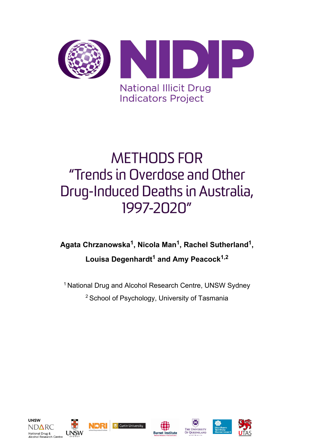

# METHODS FOR "Trends in Overdose and Other Drug-Induced Deaths in Australia, 1997-2020"

## **Agata Chrzanowska1, Nicola Man1, Rachel Sutherland1, Louisa Degenhardt<sup>1</sup> and Amy Peacock1,2**

<sup>1</sup> National Drug and Alcohol Research Centre, UNSW Sydney 2 School of Psychology, University of Tasmania











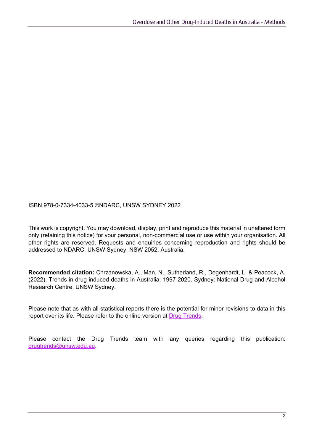ISBN 978-0-7334-4033-5 ©NDARC, UNSW SYDNEY 2022

This work is copyright. You may download, display, print and reproduce this material in unaltered form only (retaining this notice) for your personal, non-commercial use or use within your organisation. All other rights are reserved. Requests and enquiries concerning reproduction and rights should be addressed to NDARC, UNSW Sydney, NSW 2052, Australia.

**Recommended citation:** Chrzanowska, A., Man, N., Sutherland, R., Degenhardt, L. & Peacock, A. (2022). Trends in drug-induced deaths in Australia, 1997-2020. Sydney: National Drug and Alcohol Research Centre, UNSW Sydney.

Please note that as with all statistical reports there is the potential for minor revisions to data in this report over its life. Please refer to the online version at [Drug Trends.](https://ndarc.med.unsw.edu.au/program/drug-trends)

Please contact the Drug Trends team with any queries regarding this publication: [drugtrends@unsw.edu.au.](mailto:drugtrends@unsw.edu.au)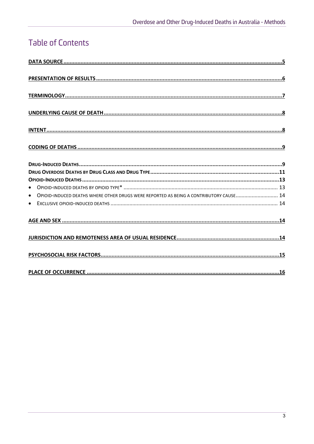## **Table of Contents**

| OPIOID-INDUCED DEATHS WHERE OTHER DRUGS WERE REPORTED AS BEING A CONTRIBUTORY CAUSE<br>$\bullet$ |
|--------------------------------------------------------------------------------------------------|
|                                                                                                  |
|                                                                                                  |
|                                                                                                  |
|                                                                                                  |
|                                                                                                  |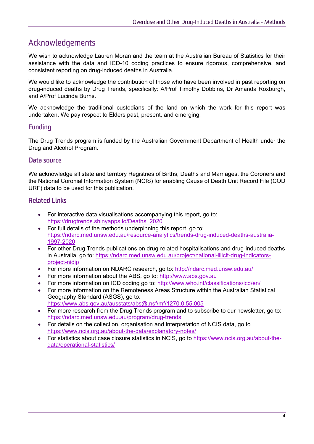## Acknowledgements

We wish to acknowledge Lauren Moran and the team at the Australian Bureau of Statistics for their assistance with the data and ICD-10 coding practices to ensure rigorous, comprehensive, and consistent reporting on drug-induced deaths in Australia.

We would like to acknowledge the contribution of those who have been involved in past reporting on drug-induced deaths by Drug Trends, specifically: A/Prof Timothy Dobbins, Dr Amanda Roxburgh, and A/Prof Lucinda Burns.

We acknowledge the traditional custodians of the land on which the work for this report was undertaken. We pay respect to Elders past, present, and emerging.

#### **Funding**

The Drug Trends program is funded by the Australian Government Department of Health under the Drug and Alcohol Program.

#### **Data source**

We acknowledge all state and territory Registries of Births, Deaths and Marriages, the Coroners and the National Coronial Information System (NCIS) for enabling Cause of Death Unit Record File (COD URF) data to be used for this publication.

#### **Related Links**

- For interactive data visualisations accompanying this report, go to: [https://drugtrends.shinyapps.io/Deaths\\_2020](https://drugtrends.shinyapps.io/Deaths_2020)
- For full details of the methods underpinning this report, go to: [https://ndarc.med.unsw.edu.au/resource-analytics/trends-drug-induced-deaths-australia-](https://ndarc.med.unsw.edu.au/resource-analytics/trends-drug-induced-deaths-australia-1997-2020)[1997-2020](https://ndarc.med.unsw.edu.au/resource-analytics/trends-drug-induced-deaths-australia-1997-2020)
- For other Drug Trends publications on drug-related hospitalisations and drug-induced deaths in Australia, go to: [https://ndarc.med.unsw.edu.au/project/national-illicit-drug-indicators](https://ndarc.med.unsw.edu.au/project/national-illicit-drug-indicators-project-nidip)[project-nidip](https://ndarc.med.unsw.edu.au/project/national-illicit-drug-indicators-project-nidip)
- For more information on NDARC research, go to:<http://ndarc.med.unsw.edu.au/>
- For more information about the ABS, go to: [http://www.abs.gov.au](http://www.abs.gov.au/)
- For more information on ICD coding go to:<http://www.who.int/classifications/icd/en/>
- For more information on the Remoteness Areas Structure within the Australian Statistical Geography Standard (ASGS), go to: <https://www.abs.gov.au/ausstats/abs@.nsf/mf/1270.0.55.005>
- For more research from the Drug Trends program and to subscribe to our newsletter, go to: <https://ndarc.med.unsw.edu.au/program/drug-trends>
- For details on the collection, organisation and interpretation of NCIS data, go to <https://www.ncis.org.au/about-the-data/explanatory-notes/>
- For statistics about case closure statistics in NCIS, go to [https://www.ncis.org.au/about-the](https://www.ncis.org.au/about-the-data/operational-statistics/)[data/operational-statistics/](https://www.ncis.org.au/about-the-data/operational-statistics/)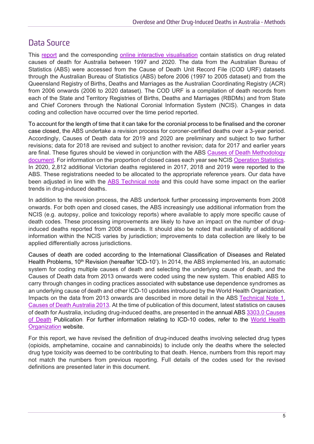## <span id="page-4-0"></span>Data Source

This [report](https://ndarc.med.unsw.edu.au/resource-analytics/trends-drug-induced-deaths-australia-1997-2020) and the corresponding [online interactive visualisation](https://drugtrends.shinyapps.io/deaths_2020/) contain statistics on drug related causes of death for Australia between 1997 and 2020. The data from the Australian Bureau of Statistics (ABS) were accessed from the Cause of Death Unit Record File (COD URF) datasets through the Australian Bureau of Statistics (ABS) before 2006 (1997 to 2005 dataset) and from the Queensland Registry of Births, Deaths and Marriages as the Australian Coordinating Registry (ACR) from 2006 onwards (2006 to 2020 dataset). The COD URF is a compilation of death records from each of the State and Territory Registries of Births, Deaths and Marriages (RBDMs) and from State and Chief Coroners through the National Coronial Information System (NCIS). Changes in data coding and collection have occurred over the time period reported.

To account for the length of time that it can take for the coronial process to be finalised and the coroner case closed, the ABS undertake a revision process for coroner-certified deaths over a 3-year period. Accordingly, Causes of Death data for 2019 and 2020 are preliminary and subject to two further revisions; data for 2018 are revised and subject to another revision; data for 2017 and earlier years are final. These figures should be viewed in conjunction with the ABS [Causes of Death Methodology](https://www.abs.gov.au/methodologies/causes-death-australia-methodology/2020#data-collection)  [document.](https://www.abs.gov.au/methodologies/causes-death-australia-methodology/2020#data-collection) For information on the proportion of closed cases each year see NCIS [Operation Statistics.](https://www.ncis.org.au/about-the-data/operational-statistics/) In 2020, 2,812 additional Victorian deaths registered in 2017, 2018 and 2019 were reported to the ABS. These registrations needed to be allocated to the appropriate reference years. Our data have been adjusted in line with the [ABS Technical note](https://www.abs.gov.au/methodologies/causes-death-australia-methodology/2019#technical-note-victorian-additional-registrations-and-time-series-adjustment) and this could have some impact on the earlier trends in drug-induced deaths.

In addition to the revision process, the ABS undertook further processing improvements from 2008 onwards. For both open and closed cases, the ABS increasingly use additional information from the NCIS (e.g. autopsy, police and toxicology reports) where available to apply more specific cause of death codes. These processing improvements are likely to have an impact on the number of druginduced deaths reported from 2008 onwards. It should also be noted that availability of additional information within the NCIS varies by jurisdiction; improvements to data collection are likely to be applied differentially across jurisdictions.

Causes of death are coded according to the International Classification of Diseases and Related Health Problems, 10<sup>th</sup> Revision (hereafter 'ICD-10'). In 2014, the ABS implemented Iris, an automatic system for coding multiple causes of death and selecting the underlying cause of death, and the Causes of Death data from 2013 onwards were coded using the new system. This enabled ABS to carry through changes in coding practices associated with substance use dependence syndromes as an underlying cause of death and other ICD-10 updates introduced by the World Health Organization. Impacts on the data from 2013 onwards are described in more detail in the ABS [Technical Note 1,](http://www.abs.gov.au/AUSSTATS/abs@.nsf/Previousproducts/3303.0Technical%20Note12013?opendocument&tabname=Notes)  [Causes of Death Australia 2013.](http://www.abs.gov.au/AUSSTATS/abs@.nsf/Previousproducts/3303.0Technical%20Note12013?opendocument&tabname=Notes) At the time of publication of this document, latest statistics on causes of death for Australia, including drug-induced deaths, are presented in the annual ABS [3303.0 Causes](https://www.abs.gov.au/statistics/health/causes-death/causes-death-australia/latest-release)  [of Death](https://www.abs.gov.au/statistics/health/causes-death/causes-death-australia/latest-release) Publication. For further information relating to ICD-10 codes, refer to the [World Health](http://www.who.int/en/) [Organization](http://www.who.int/en/) website.

For this report, we have revised the definition of drug-induced deaths involving selected drug types (opioids, amphetamine, cocaine and cannabinoids) to include only the deaths where the selected drug type toxicity was deemed to be contributing to that death. Hence, numbers from this report may not match the numbers from previous reporting. Full details of the codes used for the revised definitions are presented later in this document.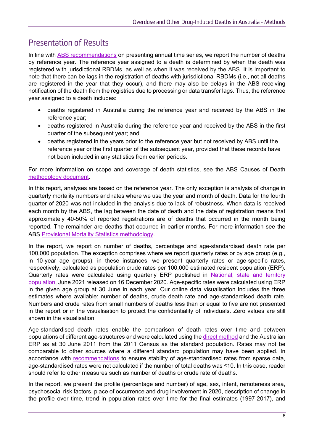## <span id="page-5-0"></span>Presentation of Results

In line with [ABS recommendations](https://www.abs.gov.au/methodologies/causes-death-australia-methodology/2020#data-collection) on presenting annual time series, we report the number of deaths by reference year. The reference year assigned to a death is determined by when the death was registered with jurisdictional RBDMs, as well as when it was received by the ABS. It is important to note that there can be lags in the registration of deaths with jurisdictional RBDMs (i.e., not all deaths are registered in the year that they occur), and there may also be delays in the ABS receiving notification of the death from the registries due to processing or data transfer lags. Thus, the reference year assigned to a death includes:

- deaths registered in Australia during the reference year and received by the ABS in the reference year;
- deaths registered in Australia during the reference year and received by the ABS in the first quarter of the subsequent year; and
- deaths registered in the years prior to the reference year but not received by ABS until the reference year or the first quarter of the subsequent year, provided that these records have not been included in any statistics from earlier periods.

For more information on scope and coverage of death statistics, see the ABS Causes of Death [methodology document.](https://www.abs.gov.au/methodologies/causes-death-australia-methodology/2020#data-collection)

In this report, analyses are based on the reference year. The only exception is analysis of change in quarterly mortality numbers and rates where we use the year and month of death. Data for the fourth quarter of 2020 was not included in the analysis due to lack of robustness. When data is received each month by the ABS, the lag between the date of death and the date of registration means that approximately 40-50% of reported registrations are of deaths that occurred in the month being reported. The remainder are deaths that occurred in earlier months. For more information see the ABS [Provisional Mortality Statistics methodology.](https://www.abs.gov.au/methodologies/provisional-mortality-statistics-methodology/january-2022)

In the report, we report on number of deaths, percentage and age-standardised death rate per 100,000 population. The exception comprises where we report quarterly rates or by age group (e.g., in 10-year age groups); in these instances, we present quarterly rates or age-specific rates, respectively, calculated as population crude rates per 100,000 estimated resident population (ERP). Quarterly rates were calculated using quarterly ERP published in [National, state and territory](https://www.abs.gov.au/statistics/people/population/national-state-and-territory-population/jun-2021)  [population,](https://www.abs.gov.au/statistics/people/population/national-state-and-territory-population/jun-2021) June 2021 released on 16 December 2020. Age-specific rates were calculated using ERP in the given age group at 30 June in each year. Our online data visualisation includes the three estimates where available: number of deaths, crude death rate and age-standardised death rate. Numbers and crude rates from small numbers of deaths less than or equal to five are not presented in the report or in the visualisation to protect the confidentiality of individuals. Zero values are still shown in the visualisation.

Age-standardised death rates enable the comparison of death rates over time and between populations of different age-structures and were calculated using the [direct method](https://www.aihw.gov.au/getmedia/95237794-4b77-4683-9f00-77c4d33e0e7c/13406.pdf.aspx?inline=true) and the Australian ERP as at 30 June 2011 from the 2011 Census as the standard population. Rates may not be comparable to other sources where a different standard population may have been applied. In accordance with [recommendations](https://pophealthmetrics.biomedcentral.com/articles/10.1186/s12963-018-0177-1) to ensure stability of age-standardised rates from sparse data, age-standardised rates were not calculated if the number of total deaths was ≤10. In this case, reader should refer to other measures such as number of deaths or crude rate of deaths.

In the report, we present the profile (percentage and number) of age, sex, intent, remoteness area, psychosocial risk factors, place of occurrence and drug involvement in 2020, description of change in the profile over time, trend in population rates over time for the final estimates (1997-2017), and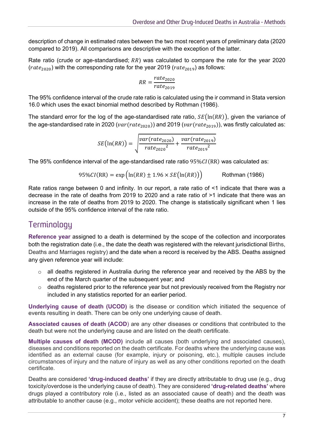description of change in estimated rates between the two most recent years of preliminary data (2020 compared to 2019). All comparisons are descriptive with the exception of the latter.

Rate ratio (crude or age-standardised;  $RR$ ) was calculated to compare the rate for the year 2020  $(rate<sub>2020</sub>)$  with the corresponding rate for the year 2019 ( $rate<sub>2019</sub>$ ) as follows:

$$
RR = \frac{rate_{2020}}{rate_{2019}}
$$

The 95% confidence interval of the crude rate ratio is calculated using the ir command in Stata version 16.0 which uses the exact binomial method described by Rothman (1986).

The standard error for the log of the age-standardised rate ratio,  $SE(\ln(RR))$ , given the variance of the age-standardised rate in 2020 ( $var(rate_{2020})$ ) and 2019 ( $var(rate_{2019})$ ), was firstly calculated as:

$$
SE\left(\ln(RR)\right) = \sqrt{\frac{var(rate_{2020})}{rate_{2020}^2} + \frac{var(rate_{2019})}{rate_{2019}^2}}
$$

The 95% confidence interval of the age-standardised rate ratio  $95\%CI(RR)$  was calculated as:

$$
95\%CI(RR) = \exp\left(\ln(RR) \pm 1.96 \times SE\left(\ln(RR)\right)\right)
$$
 Rothman (1986)

Rate ratios range between 0 and infinity. In our report, a rate ratio of <1 indicate that there was a decrease in the rate of deaths from 2019 to 2020 and a rate ratio of >1 indicate that there was an increase in the rate of deaths from 2019 to 2020. The change is statistically significant when 1 lies outside of the 95% confidence interval of the rate ratio.

## <span id="page-6-0"></span>**Terminology**

**Reference year** assigned to a death is determined by the scope of the collection and incorporates both the registration date (i.e., the date the death was registered with the relevant jurisdictional Births, Deaths and Marriages registry) and the date when a record is received by the ABS. Deaths assigned any given reference year will include:

- o all deaths registered in Australia during the reference year and received by the ABS by the end of the March quarter of the subsequent year; and
- $\circ$  deaths registered prior to the reference year but not previously received from the Registry nor included in any statistics reported for an earlier period.

**Underlying cause of death (UCOD)** is the disease or condition which initiated the sequence of events resulting in death. There can be only one underlying cause of death.

**Associated causes of death (ACOD**) are any other diseases or conditions that contributed to the death but were not the underlying cause and are listed on the death certificate.

**Multiple causes of death (MCOD)** include all causes (both underlying and associated causes), diseases and conditions reported on the death certificate. For deaths where the underlying cause was identified as an external cause (for example, injury or poisoning, etc.), multiple causes include circumstances of injury and the nature of injury as well as any other conditions reported on the death certificate.

Deaths are considered **'drug-induced deaths'** if they are directly attributable to drug use (e.g., drug toxicity/overdose is the underlying cause of death). They are considered **'drug-related deaths'** where drugs played a contributory role (i.e., listed as an associated cause of death) and the death was attributable to another cause (e.g., motor vehicle accident); these deaths are not reported here.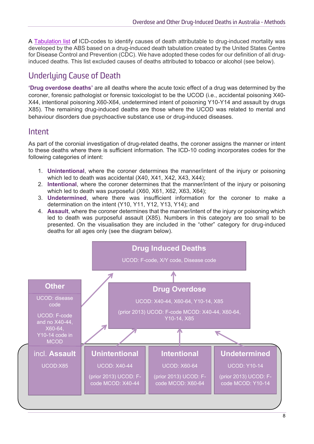A [Tabulation list](https://www.abs.gov.au/methodologies/causes-death-australia-methodology/2020#mortality-tabulations-and-methodologies) of ICD-codes to identify causes of death attributable to drug-induced mortality was developed by the ABS based on a drug-induced death tabulation created by the United States Centre for Disease Control and Prevention (CDC). We have adopted these codes for our definition of all druginduced deaths. This list excluded causes of deaths attributed to tobacco or alcohol (see below).

## <span id="page-7-0"></span>Underlying Cause of Death

**'Drug overdose deaths'** are all deaths where the acute toxic effect of a drug was determined by the coroner, forensic pathologist or forensic toxicologist to be the UCOD (i.e., accidental poisoning X40- X44, intentional poisoning X60-X64, undetermined intent of poisoning Y10-Y14 and assault by drugs X85). The remaining drug-induced deaths are those where the UCOD was related to mental and behaviour disorders due psychoactive substance use or drug-induced diseases.

#### <span id="page-7-1"></span>Intent

As part of the coronial investigation of drug-related deaths, the coroner assigns the manner or intent to these deaths where there is sufficient information. The ICD-10 coding incorporates codes for the following categories of intent:

- 1. **Unintentional**, where the coroner determines the manner/intent of the injury or poisoning which led to death was accidental (X40, X41, X42, X43, X44);
- 2. **Intentional**, where the coroner determines that the manner/intent of the injury or poisoning which led to death was purposeful (X60, X61, X62, X63, X64);
- 3. **Undetermined**, where there was insufficient information for the coroner to make a determination on the intent (Y10, Y11, Y12, Y13, Y14); and
- 4. **Assault**, where the coroner determines that the manner/intent of the injury or poisoning which led to death was purposeful assault (X85). Numbers in this category are too small to be presented. On the visualisation they are included in the "other" category for drug-induced deaths for all ages only (see the diagram below).

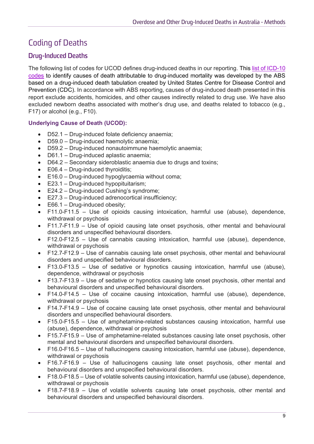## <span id="page-8-0"></span>Coding of Deaths

#### <span id="page-8-1"></span>**Drug-Induced Deaths**

The following list of codes for UCOD defines drug-induced deaths in our reporting. This [list of ICD-10](https://www.abs.gov.au/methodologies/causes-death-australia-methodology/2020#mortality-tabulations-and-methodologies)  [codes](https://www.abs.gov.au/methodologies/causes-death-australia-methodology/2020#mortality-tabulations-and-methodologies) to identify causes of death attributable to drug-induced mortality was developed by the ABS based on a drug-induced death tabulation created by United States Centre for Disease Control and Prevention (CDC). In accordance with ABS reporting, causes of drug-induced death presented in this report exclude accidents, homicides, and other causes indirectly related to drug use. We have also excluded newborn deaths associated with mother's drug use, and deaths related to tobacco (e.g., F17) or alcohol (e.g., F10).

#### **Underlying Cause of Death (UCOD):**

- D52.1 Drug-induced folate deficiency anaemia;
- D59.0 Drug-induced haemolytic anaemia;
- D59.2 Drug-induced nonautoimmune haemolytic anaemia;
- D61.1 Drug-induced aplastic anaemia;
- D64.2 Secondary sideroblastic anaemia due to drugs and toxins;
- $\bullet$  E06.4 Drug-induced thyroiditis;
- E16.0 Drug-induced hypoglycaemia without coma;
- E23.1 Drug-induced hypopituitarism;
- E24.2 Drug-induced Cushing's syndrome;
- E27.3 Drug-induced adrenocortical insufficiency;
- E66.1 Drug-induced obesity;
- F11.0-F11.5 Use of opioids causing intoxication, harmful use (abuse), dependence, withdrawal or psychosis
- F11.7-F11.9 Use of opioid causing late onset psychosis, other mental and behavioural disorders and unspecified behavioural disorders.
- F12.0-F12.5 Use of cannabis causing intoxication, harmful use (abuse), dependence, withdrawal or psychosis
- F12.7-F12.9 Use of cannabis causing late onset psychosis, other mental and behavioural disorders and unspecified behavioural disorders.
- F13.0-F13.5 Use of sedative or hypnotics causing intoxication, harmful use (abuse), dependence, withdrawal or psychosis
- F13.7-F13.9 Use of sedative or hypnotics causing late onset psychosis, other mental and behavioural disorders and unspecified behavioural disorders.
- F14.0-F14.5 Use of cocaine causing intoxication, harmful use (abuse), dependence, withdrawal or psychosis
- F14.7-F14.9 Use of cocaine causing late onset psychosis, other mental and behavioural disorders and unspecified behavioural disorders.
- F15.0-F15.5 Use of amphetamine-related substances causing intoxication, harmful use (abuse), dependence, withdrawal or psychosis
- F15.7-F15.9 Use of amphetamine-related substances causing late onset psychosis, other mental and behavioural disorders and unspecified behavioural disorders.
- F16.0-F16.5 Use of hallucinogens causing intoxication, harmful use (abuse), dependence, withdrawal or psychosis
- F16.7-F16.9 Use of hallucinogens causing late onset psychosis, other mental and behavioural disorders and unspecified behavioural disorders.
- F18.0-F18.5 Use of volatile solvents causing intoxication, harmful use (abuse), dependence, withdrawal or psychosis
- F18.7-F18.9 Use of volatile solvents causing late onset psychosis, other mental and behavioural disorders and unspecified behavioural disorders.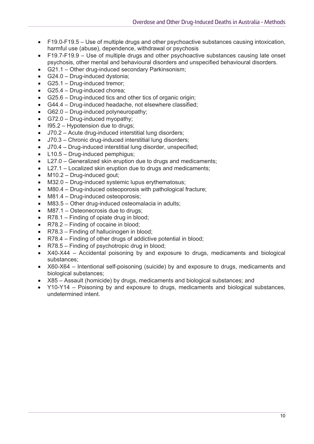- F19.0-F19.5 Use of multiple drugs and other psychoactive substances causing intoxication, harmful use (abuse), dependence, withdrawal or psychosis
- F19.7-F19.9 Use of multiple drugs and other psychoactive substances causing late onset psychosis, other mental and behavioural disorders and unspecified behavioural disorders.
- G21.1 Other drug-induced secondary Parkinsonism;
- G24.0 Drug-induced dystonia:
- G25.1 Drug-induced tremor;
- G25.4 Drug-induced chorea:
- G25.6 Drug-induced tics and other tics of organic origin;
- G44.4 Drug-induced headache, not elsewhere classified;
- G62.0 Drug-induced polyneuropathy;
- G72.0 Drug-induced myopathy:
- I95.2 Hypotension due to drugs:
- J70.2 Acute drug-induced interstitial lung disorders;
- J70.3 Chronic drug-induced interstitial lung disorders;
- J70.4 Drug-induced interstitial lung disorder, unspecified;
- L10.5 Drug-induced pemphigus:
- L27.0 Generalized skin eruption due to drugs and medicaments;
- L27.1 Localized skin eruption due to drugs and medicaments;
- M10.2 Drug-induced gout:
- M32.0 Drug-induced systemic lupus erythematosus;
- M80.4 Drug-induced osteoporosis with pathological fracture;
- M81.4 Drug-induced osteoporosis;
- M83.5 Other drug-induced osteomalacia in adults;
- M87.1 Osteonecrosis due to drugs;
- R78.1 Finding of opiate drug in blood;
- R78.2 Finding of cocaine in blood;
- R78.3 Finding of hallucinogen in blood;
- R78.4 Finding of other drugs of addictive potential in blood;
- R78.5 Finding of psychotropic drug in blood;
- X40-X44 Accidental poisoning by and exposure to drugs, medicaments and biological substances;
- X60-X64 Intentional self-poisoning (suicide) by and exposure to drugs, medicaments and biological substances;
- X85 Assault (homicide) by drugs, medicaments and biological substances; and
- Y10-Y14 Poisoning by and exposure to drugs, medicaments and biological substances, undetermined intent.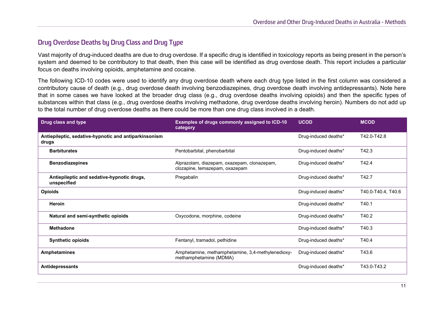#### **Drug Overdose Deaths by Drug Class and Drug Type**

Vast majority of drug-induced deaths are due to drug overdose. If a specific drug is identified in toxicology reports as being present in the person's system and deemed to be contributory to that death, then this case will be identified as drug overdose death. This report includes a particular focus on deaths involving opioids, amphetamine and cocaine.

The following ICD-10 codes were used to identify any drug overdose death where each drug type listed in the first column was considered a contributory cause of death (e.g., drug overdose death involving benzodiazepines, drug overdose death involving antidepressants). Note here that in some cases we have looked at the broader drug class (e.g., drug overdose deaths involving opioids) and then the specific types of substances within that class (e.g., drug overdose deaths involving methadone, drug overdose deaths involving heroin). Numbers do not add up to the total number of drug overdose deaths as there could be more than one drug class involved in a death.

<span id="page-10-0"></span>

| Drug class and type                                            | Examples of drugs commonly assigned to ICD-10<br>category                     | <b>UCOD</b>          | <b>MCOD</b>        |
|----------------------------------------------------------------|-------------------------------------------------------------------------------|----------------------|--------------------|
| Antiepileptic, sedative-hypnotic and antiparkinsonism<br>drugs |                                                                               | Drug-induced deaths* | T42.0-T42.8        |
| <b>Barbiturates</b>                                            | Pentobarbital, phenobarbital                                                  | Drug-induced deaths* | T42.3              |
| <b>Benzodiazepines</b>                                         | Alprazolam, diazepam, oxazepam, clonazepam,<br>clozapine, temazepam, oxazepam | Drug-induced deaths* | T42.4              |
| Antiepileptic and sedative-hypnotic drugs,<br>unspecified      | Pregabalin                                                                    | Drug-induced deaths* | T42.7              |
| <b>Opioids</b>                                                 |                                                                               | Drug-induced deaths* | T40.0-T40.4, T40.6 |
| <b>Heroin</b>                                                  |                                                                               | Drug-induced deaths* | T40.1              |
| Natural and semi-synthetic opioids                             | Oxycodone, morphine, codeine                                                  | Drug-induced deaths* | T40.2              |
| <b>Methadone</b>                                               |                                                                               | Drug-induced deaths* | T40.3              |
| <b>Synthetic opioids</b>                                       | Fentanyl, tramadol, pethidine                                                 | Drug-induced deaths* | T40.4              |
| <b>Amphetamines</b>                                            | Amphetamine, methamphetamine, 3,4-methylenedioxy-<br>methamphetamine (MDMA)   | Drug-induced deaths* | T43.6              |
| <b>Antidepressants</b>                                         |                                                                               | Drug-induced deaths* | T43.0-T43.2        |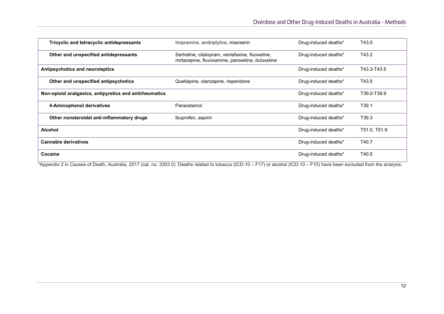| Tricyclic and tetracyclic antidepressants              | Imipramine, amitriptyline, mianserin                                                                 | Drug-induced deaths* | T43.0             |
|--------------------------------------------------------|------------------------------------------------------------------------------------------------------|----------------------|-------------------|
| Other and unspecified antidepressants                  | Sertraline, citalopram, venlafaxine, fluoxetine,<br>mirtazepine, fluvoxamine, paroxetine, duloxetine | Drug-induced deaths* | T43.2             |
| Antipsychotics and neuroleptics                        |                                                                                                      | Drug-induced deaths* | T43.3-T43.5       |
| Other and unspecified antipsychotics                   | Quetiapine, olanzapine, risperidone                                                                  | Drug-induced deaths* | T43.5             |
| Non-opioid analgesics, antipyretics and antirheumatics |                                                                                                      | Drug-induced deaths* | T39.0-T39.9       |
| 4-Aminophenol derivatives                              | Paracetamol                                                                                          | Drug-induced deaths* | T <sub>39.1</sub> |
| Other nonsteroidal anti-inflammatory drugs             | Ibuprofen, aspirin                                                                                   | Drug-induced deaths* | T39.3             |
| <b>Alcohol</b>                                         |                                                                                                      | Drug-induced deaths* | T51.0, T51.9      |
| <b>Cannabis derivatives</b>                            |                                                                                                      | Drug-induced deaths* | T40.7             |
| Cocaine                                                |                                                                                                      | Drug-induced deaths* | T40.5             |

\*Appendix 2 in Causes of Death, Australia, 2017 (cat. no. 3303.0). Deaths related to tobacco (ICD-10 – F17) or alcohol (ICD-10 – F10) have been excluded from the analysis.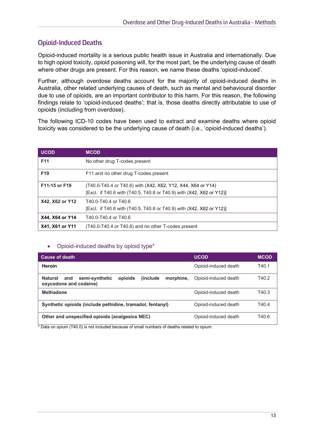#### <span id="page-12-0"></span>**Opioid-Induced Deaths**

Opioid-induced mortality is a serious public health issue in Australia and internationally. Due to high opioid toxicity, opioid poisoning will, for the most part, be the underlying cause of death where other drugs are present. For this reason, we name these deaths 'opioid-induced'.

Further, although overdose deaths account for the majority of opioid-induced deaths in Australia, other related underlying causes of death, such as mental and behavioural disorder due to use of opioids, are an important contributor to this harm. For this reason, the following findings relate to 'opioid-induced deaths'; that is, those deaths directly attributable to use of opioids (including from overdose).

The following ICD-10 codes have been used to extract and examine deaths where opioid toxicity was considered to be the underlying cause of death (i.e., 'opioid-induced deaths').

| <b>UCOD</b>     | <b>MCOD</b>                                                                                                                          |
|-----------------|--------------------------------------------------------------------------------------------------------------------------------------|
| F <sub>11</sub> | No other drug T-codes present                                                                                                        |
| F <sub>19</sub> | F11 and no other drug T-codes present                                                                                                |
| F11-15 or F19   | (T40.0-T40.4 or T40.6) with (X42, X62, Y12, X44, X64 or Y14)<br>[Excl. if T40.6 with (T40.5, T40.8 or T40.9) with (X42, X62 or Y12)] |
| X42, X62 or Y12 | T40.0-T40.4 or T40.6<br>[Excl. if T40.6 with (T40.5, T40.8 or T40.9) with (X42, X62 or Y12)]                                         |
| X44, X64 or Y14 | T40.0-T40.4 or T40.6                                                                                                                 |
| X41, X61 or Y11 | (T40.0-T40.4 or T40.6) and no other T-codes present                                                                                  |

#### <span id="page-12-1"></span>• Opioid-induced deaths by opioid type\*

| <b>Cause of death</b>                                                                                         | <b>UCOD</b>          | <b>MCOD</b> |
|---------------------------------------------------------------------------------------------------------------|----------------------|-------------|
| Heroin                                                                                                        | Opioid-induced death | T40.1       |
| opioids<br><i>l</i> include<br><b>Natural</b><br>semi-synthetic<br>morphine.<br>and<br>oxycodone and codeine) | Opioid-induced death | T40.2       |
| <b>Methadone</b>                                                                                              | Opioid-induced death | T40.3       |
| Synthetic opioids (include pethidine, tramadol, fentanyl)                                                     | Opioid-induced death | T40.4       |
| Other and unspecified opioids (analgesics NEC)                                                                | Opioid-induced death | T40.6       |

\* Data on opium (T40.0) is not included because of small numbers of deaths related to opium.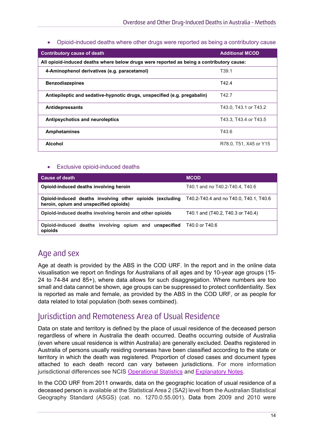#### • Opioid-induced deaths where other drugs were reported as being a contributory cause

<span id="page-13-0"></span>

| <b>Contributory cause of death</b>                                                       | <b>Additional MCOD</b> |  |
|------------------------------------------------------------------------------------------|------------------------|--|
| All opioid-induced deaths where below drugs were reported as being a contributory cause: |                        |  |
| 4-Aminophenol derivatives (e.g. paracetamol)                                             | T <sub>39.1</sub>      |  |
| <b>Benzodiazepines</b>                                                                   | T42.4                  |  |
| Antiepileptic and sedative-hypnotic drugs, unspecified (e.g. pregabalin)                 | T42.7                  |  |
| <b>Antidepressants</b>                                                                   | T43.0, T43.1 or T43.2  |  |
| Antipsychotics and neuroleptics                                                          | T43.3. T43.4 or T43.5  |  |
| <b>Amphetamines</b>                                                                      | T43.6                  |  |
| Alcohol                                                                                  | R78.0, T51, X45 or Y15 |  |

#### • Exclusive opioid-induced deaths

<span id="page-13-1"></span>

| <b>Cause of death</b>                                                                              | <b>MCOD</b>                            |
|----------------------------------------------------------------------------------------------------|----------------------------------------|
| Opioid-induced deaths involving heroin                                                             | T40.1 and no T40.2-T40.4, T40.6        |
| Opioid-induced deaths involving other opioids (excluding<br>heroin, opium and unspecified opioids) | T40.2-T40.4 and no T40.0. T40.1. T40.6 |
| Opioid-induced deaths involving heroin and other opioids                                           | T40.1 and (T40.2, T40.3 or T40.4)      |
| Opioid-induced deaths involving opium and unspecified<br>opioids                                   | T40.0 or T40.6                         |

#### <span id="page-13-2"></span>Age and sex

Age at death is provided by the ABS in the COD URF. In the report and in the online data visualisation we report on findings for Australians of all ages and by 10-year age groups (15- 24 to 74-84 and 85+), where data allows for such disaggregation. Where numbers are too small and data cannot be shown, age groups can be suppressed to protect confidentiality. Sex is reported as male and female, as provided by the ABS in the COD URF, or as people for data related to total population (both sexes combined).

### <span id="page-13-3"></span>Jurisdiction and Remoteness Area of Usual Residence

Data on state and territory is defined by the place of usual residence of the deceased person regardless of where in Australia the death occurred. Deaths occurring outside of Australia (even where usual residence is within Australia) are generally excluded. Deaths registered in Australia of persons usually residing overseas have been classified according to the state or territory in which the death was registered. Proportion of closed cases and document types attached to each death record can vary between jurisdictions. For more information jurisdictional differences see NCIS [Operational Statistics](https://www.ncis.org.au/about-the-data/operational-statistics/) and [Explanatory Notes.](https://www.ncis.org.au/about-the-data/explanatory-notes/)

In the COD URF from 2011 onwards, data on the geographic location of usual residence of a deceased person is available at the Statistical Area 2 (SA2) level from the Australian Statistical Geography Standard (ASGS) (cat. no. 1270.0.55.001). Data from 2009 and 2010 were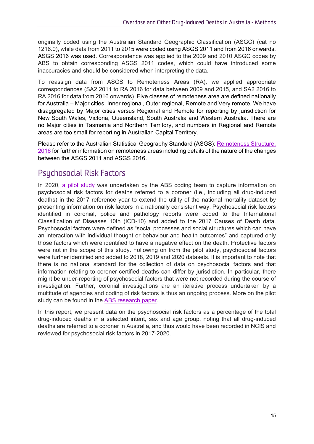originally coded using the Australian Standard Geographic Classification (ASGC) (cat no 1216.0), while data from 2011 to 2015 were coded using ASGS 2011 and from 2016 onwards, ASGS 2016 was used. Correspondence was applied to the 2009 and 2010 ASGC codes by ABS to obtain corresponding ASGS 2011 codes, which could have introduced some inaccuracies and should be considered when interpreting the data.

To reassign data from ASGS to Remoteness Areas (RA), we applied appropriate correspondences (SA2 2011 to RA 2016 for data between 2009 and 2015, and SA2 2016 to RA 2016 for data from 2016 onwards). Five classes of remoteness area are defined nationally for Australia – Major cities, Inner regional, Outer regional, Remote and Very remote. We have disaggregated by Major cities versus Regional and Remote for reporting by jurisdiction for New South Wales, Victoria, Queensland, South Australia and Western Australia. There are no Major cities in Tasmania and Northern Territory, and numbers in Regional and Remote areas are too small for reporting in Australian Capital Territory.

Please refer to the Australian Statistical Geography Standard (ASGS): [Remoteness Structure,](https://www.abs.gov.au/ausstats/abs@.nsf/mf/1270.0.55.005)  [2016](https://www.abs.gov.au/ausstats/abs@.nsf/mf/1270.0.55.005) for further information on remoteness areas including details of the nature of the changes between the ASGS 2011 and ASGS 2016.

## <span id="page-14-0"></span>Psychosocial Risk Factors

In 2020, [a pilot study](https://www.abs.gov.au/ausstats/abs@.nsf/Latestproducts/1351.0.55.062Main%20Features32017?opendocument&tabname=Summary&prodno=1351.0.55.062&issue=2017&num=&view=) was undertaken by the ABS coding team to capture information on psychosocial risk factors for deaths referred to a coroner (i.e., including all drug-induced deaths) in the 2017 reference year to extend the utility of the national mortality dataset by presenting information on risk factors in a nationally consistent way. Psychosocial risk factors identified in coronial, police and pathology reports were coded to the International Classification of Diseases 10th (ICD-10) and added to the 2017 Causes of Death data. Psychosocial factors were defined as "social processes and social structures which can have an interaction with individual thought or behaviour and health outcomes" and captured only those factors which were identified to have a negative effect on the death. Protective factors were not in the scope of this study. Following on from the pilot study, psychosocial factors were further identified and added to 2018, 2019 and 2020 datasets. It is important to note that there is no national standard for the collection of data on psychosocial factors and that information relating to coroner-certified deaths can differ by jurisdiction. In particular, there might be under-reporting of psychosocial factors that were not recorded during the course of investigation. Further, coronial investigations are an iterative process undertaken by a multitude of agencies and coding of risk factors is thus an ongoing process. More on the pilot study can be found in the [ABS research paper.](https://www.abs.gov.au/ausstats/abs@.nsf/Latestproducts/1351.0.55.062Main%20Features32017?opendocument&tabname=Summary&prodno=1351.0.55.062&issue=2017&num=&view=)

In this report, we present data on the psychosocial risk factors as a percentage of the total drug-induced deaths in a selected intent, sex and age group, noting that all drug-induced deaths are referred to a coroner in Australia, and thus would have been recorded in NCIS and reviewed for psychosocial risk factors in 2017-2020.